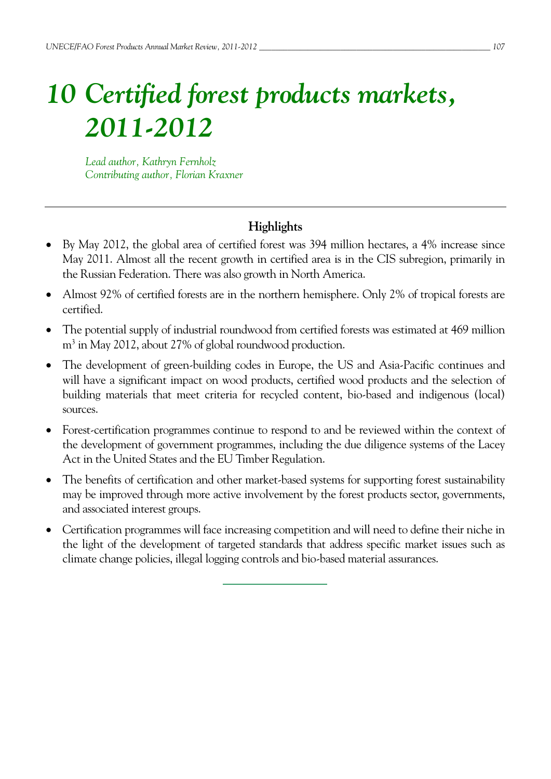# *10 Certified forest products markets, 2011-2012*

*Lead author, Kathryn Fernholz Contributing author, Florian Kraxner* 

# **Highlights**

- By May 2012, the global area of certified forest was 394 million hectares, a 4% increase since May 2011. Almost all the recent growth in certified area is in the CIS subregion, primarily in the Russian Federation. There was also growth in North America.
- Almost 92% of certified forests are in the northern hemisphere. Only 2% of tropical forests are certified.
- The potential supply of industrial roundwood from certified forests was estimated at 469 million m3 in May 2012, about 27% of global roundwood production.
- The development of green-building codes in Europe, the US and Asia-Pacific continues and will have a significant impact on wood products, certified wood products and the selection of building materials that meet criteria for recycled content, bio-based and indigenous (local) sources.
- Forest-certification programmes continue to respond to and be reviewed within the context of the development of government programmes, including the due diligence systems of the Lacey Act in the United States and the EU Timber Regulation.
- The benefits of certification and other market-based systems for supporting forest sustainability may be improved through more active involvement by the forest products sector, governments, and associated interest groups.
- Certification programmes will face increasing competition and will need to define their niche in the light of the development of targeted standards that address specific market issues such as climate change policies, illegal logging controls and bio-based material assurances.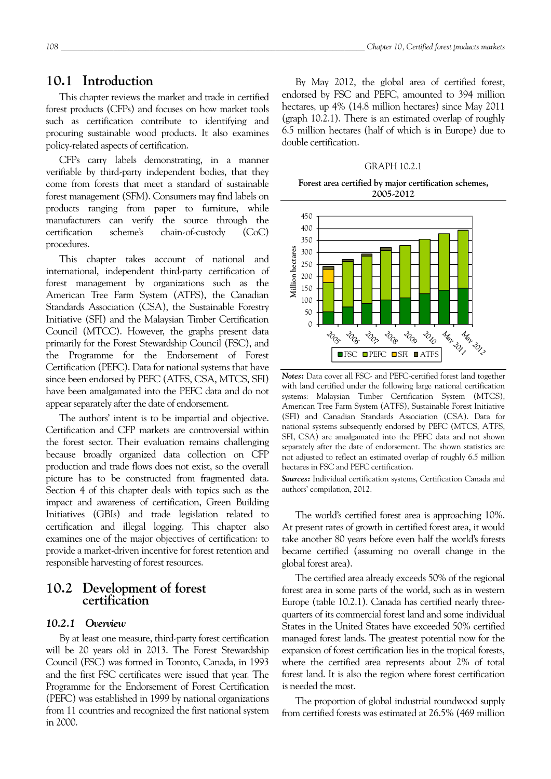## **10.1 Introduction**

This chapter reviews the market and trade in certified forest products (CFPs) and focuses on how market tools such as certification contribute to identifying and procuring sustainable wood products. It also examines policy-related aspects of certification.

CFPs carry labels demonstrating, in a manner verifiable by third-party independent bodies, that they come from forests that meet a standard of sustainable forest management (SFM). Consumers may find labels on products ranging from paper to furniture, while manufacturers can verify the source through the certification scheme's chain-of-custody (CoC) procedures.

This chapter takes account of national and international, independent third-party certification of forest management by organizations such as the American Tree Farm System (ATFS), the Canadian Standards Association (CSA), the Sustainable Forestry Initiative (SFI) and the Malaysian Timber Certification Council (MTCC). However, the graphs present data primarily for the Forest Stewardship Council (FSC), and the Programme for the Endorsement of Forest Certification (PEFC). Data for national systems that have since been endorsed by PEFC (ATFS, CSA, MTCS, SFI) have been amalgamated into the PEFC data and do not appear separately after the date of endorsement.

The authors' intent is to be impartial and objective. Certification and CFP markets are controversial within the forest sector. Their evaluation remains challenging because broadly organized data collection on CFP production and trade flows does not exist, so the overall picture has to be constructed from fragmented data. Section 4 of this chapter deals with topics such as the impact and awareness of certification, Green Building Initiatives (GBIs) and trade legislation related to certification and illegal logging. This chapter also examines one of the major objectives of certification: to provide a market-driven incentive for forest retention and responsible harvesting of forest resources.

## **10.2 Development of forest certification**

## *10.2.1 Overview*

By at least one measure, third-party forest certification will be 20 years old in 2013. The Forest Stewardship Council (FSC) was formed in Toronto, Canada, in 1993 and the first FSC certificates were issued that year. The Programme for the Endorsement of Forest Certification (PEFC) was established in 1999 by national organizations from 11 countries and recognized the first national system in 2000.

By May 2012, the global area of certified forest, endorsed by FSC and PEFC, amounted to 394 million hectares, up 4% (14.8 million hectares) since May 2011 (graph 10.2.1). There is an estimated overlap of roughly 6.5 million hectares (half of which is in Europe) due to double certification.

#### GRAPH 10.2.1

#### **Forest area certified by major certification schemes, 2005-2012**



*Notes:* Data cover all FSC- and PEFC-certified forest land together with land certified under the following large national certification systems: Malaysian Timber Certification System (MTCS), American Tree Farm System (ATFS), Sustainable Forest Initiative (SFI) and Canadian Standards Association (CSA). Data for national systems subsequently endorsed by PEFC (MTCS, ATFS, SFI, CSA) are amalgamated into the PEFC data and not shown separately after the date of endorsement. The shown statistics are not adjusted to reflect an estimated overlap of roughly 6.5 million hectares in FSC and PEFC certification.

*Sources:* Individual certification systems, Certification Canada and authors' compilation, 2012.

The world's certified forest area is approaching 10%. At present rates of growth in certified forest area, it would take another 80 years before even half the world's forests became certified (assuming no overall change in the global forest area).

The certified area already exceeds 50% of the regional forest area in some parts of the world, such as in western Europe (table 10.2.1). Canada has certified nearly threequarters of its commercial forest land and some individual States in the United States have exceeded 50% certified managed forest lands. The greatest potential now for the expansion of forest certification lies in the tropical forests, where the certified area represents about 2% of total forest land. It is also the region where forest certification is needed the most.

The proportion of global industrial roundwood supply from certified forests was estimated at 26.5% (469 million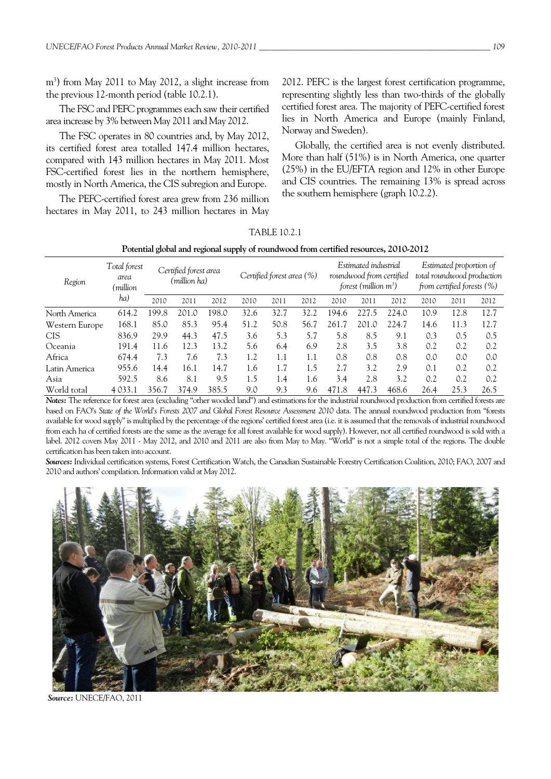m<sup>3</sup>) from May 2011 to May 2012, a slight increase from the previous 12-month period (table 10.2.1).

The FSC and PEFC programmes each saw their certified area increase by 3% between May 2011 and May 2012.

The FSC operates in 80 countries and, by May 2012, its certified forest area totalled 147.4 million hectares, compared with 143 million hectares in May 2011. Most FSC-certified forest lies in the northern hemisphere, mostly in North America, the CIS subregion and Europe.

The PEFC-certified forest area grew from 236 million hectares in May 2011, to 243 million hectares in May

2012. PEFC is the largest forest certification programme, representing slightly less than two-thirds of the globally certified forest area. The majority of PEFC-certified forest lies in North America and Europe (mainly Finland, Norway and Sweden).

Globally, the certified area is not evenly distributed. More than half (51%) is in North America, one quarter (25%) in the EU/EFTA region and 12% in other Europe and CIS countries. The remaining 13% is spread across the southern hemisphere (graph 10.2.2).

TABLE 10.2.1

| Potential global and regional supply of roundwood from certified resources, 2010-2012 |  |  |  |  |  |  |
|---------------------------------------------------------------------------------------|--|--|--|--|--|--|
|---------------------------------------------------------------------------------------|--|--|--|--|--|--|

| Region         | Total forest<br>area<br>million)<br>ha) | Certified forest area<br>(million ha) |       | Certified forest area (%) |      | Estimated industrial<br>roundwood from certified<br>forest (million $m^3$ ) |      |       | Estimated proportion of<br>total roundwood production<br>from certified forests $(\%)$ |       |      |      |      |
|----------------|-----------------------------------------|---------------------------------------|-------|---------------------------|------|-----------------------------------------------------------------------------|------|-------|----------------------------------------------------------------------------------------|-------|------|------|------|
|                |                                         | 2010                                  | 2011  | 2012                      | 2010 | 2011                                                                        | 2012 | 2010  | 2011                                                                                   | 2012  | 2010 | 2011 | 2012 |
| North America  | 614.2                                   | 199.8                                 | 201.0 | 198.0                     | 32.6 | 32.7                                                                        | 32.2 | 194.6 | 227.5                                                                                  | 224.0 | 10.9 | 12.8 | 12.7 |
| Western Europe | 168.1                                   | 85.0                                  | 85.3  | 95.4                      | 51.2 | 50.8                                                                        | 56.7 | 261.7 | 201.0                                                                                  | 224.7 | 14.6 | 11.3 | 12.7 |
| <b>CIS</b>     | 836.9                                   | 29.9                                  | 44.3  | 47.5                      | 3.6  | 5.3                                                                         | 5.7  | 5.8   | 8.5                                                                                    | 9.1   | 0.3  | 0.5  | 0.5  |
| Oceania        | 191.4                                   | 11.6                                  | 12.3  | 13.2                      | 5.6  | 6.4                                                                         | 6.9  | 2.8   | 3.5                                                                                    | 3.8   | 0.2  | 0.2  | 0.2  |
| Africa         | 674.4                                   | 7.3                                   | 7.6   | 7.3                       | 1.2  | 1.1                                                                         | 1.1  | 0.8   | 0.8                                                                                    | 0.8   | 0.0  | 0.0  | 0.0  |
| Latin America  | 955.6                                   | 14.4                                  | 16.1  | 14.7                      | 1.6  | 1.7                                                                         | 1.5  | 2.7   | 3.2                                                                                    | 2.9   | 0.1  | 0.2  | 0.2  |
| Asia           | 592.5                                   | 8.6                                   | 8.1   | 9.5                       | 1.5  | 1.4                                                                         | 1.6  | 3.4   | 2.8                                                                                    | 3.2   | 0.2  | 0.2  | 0.2  |
| World total    | 4 0 3 3 .1                              | 356.7                                 | 374.9 | 385.5                     | 9.0  | 9.3                                                                         | 9.6  | 471.8 | 447.3                                                                                  | 468.6 | 26.4 | 25.3 | 26.5 |

*Notes:* The reference for forest area (excluding "other wooded land") and estimations for the industrial roundwood production from certified forests are based on FAO's State of the World's Forests 2007 and Global Forest Resource Assessment 2010 data. The annual roundwood production from "forests available for wood supply" is multiplied by the percentage of the regions' certified forest area (i.e. it is assumed that the removals of industrial roundwood from each ha of certified forests are the same as the average for all forest available for wood supply). However, not all certified roundwood is sold with a label. 2012 covers May 2011 - May 2012, and 2010 and 2011 are also from May to May. "World" is not a simple total of the regions. The double certification has been taken into account.

*Sources:* Individual certification systems, Forest Certification Watch, the Canadian Sustainable Forestry Certification Coalition, 2010; FAO, 2007 and 2010 and authors' compilation. Information valid at May 2012.



 *Source:* UNECE/FAO, 2011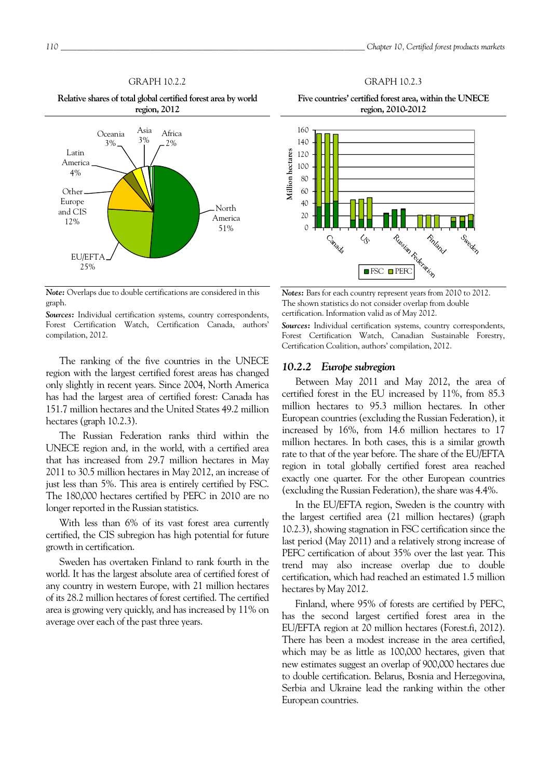## GRAPH 10.2.2

**Relative shares of total global certified forest area by world region, 2012** 



*Note:* Overlaps due to double certifications are considered in this graph.

*Sources:* Individual certification systems, country correspondents, Forest Certification Watch, Certification Canada, authors' compilation, 2012.

The ranking of the five countries in the UNECE region with the largest certified forest areas has changed only slightly in recent years. Since 2004, North America has had the largest area of certified forest: Canada has 151.7 million hectares and the United States 49.2 million hectares (graph 10.2.3).

The Russian Federation ranks third within the UNECE region and, in the world, with a certified area that has increased from 29.7 million hectares in May 2011 to 30.5 million hectares in May 2012, an increase of just less than 5%. This area is entirely certified by FSC. The 180,000 hectares certified by PEFC in 2010 are no longer reported in the Russian statistics.

With less than 6% of its vast forest area currently certified, the CIS subregion has high potential for future growth in certification.

Sweden has overtaken Finland to rank fourth in the world. It has the largest absolute area of certified forest of any country in western Europe, with 21 million hectares of its 28.2 million hectares of forest certified. The certified area is growing very quickly, and has increased by 11% on average over each of the past three years.

**Five countries' certified forest area, within the UNECE region, 2010-2012** 

GRAPH 10.2.3



*Notes:* Bars for each country represent years from 2010 to 2012. The shown statistics do not consider overlap from double certification. Information valid as of May 2012.

*Sources:* Individual certification systems, country correspondents, Forest Certification Watch, Canadian Sustainable Forestry, Certification Coalition, authors' compilation, 2012.

#### *10.2.2 Europe subregion*

Between May 2011 and May 2012, the area of certified forest in the EU increased by 11%, from 85.3 million hectares to 95.3 million hectares. In other European countries (excluding the Russian Federation), it increased by 16%, from 14.6 million hectares to 17 million hectares. In both cases, this is a similar growth rate to that of the year before. The share of the EU/EFTA region in total globally certified forest area reached exactly one quarter. For the other European countries (excluding the Russian Federation), the share was 4.4%.

In the EU/EFTA region, Sweden is the country with the largest certified area (21 million hectares) (graph 10.2.3), showing stagnation in FSC certification since the last period (May 2011) and a relatively strong increase of PEFC certification of about 35% over the last year. This trend may also increase overlap due to double certification, which had reached an estimated 1.5 million hectares by May 2012.

Finland, where 95% of forests are certified by PEFC, has the second largest certified forest area in the EU/EFTA region at 20 million hectares (Forest.fi, 2012). There has been a modest increase in the area certified, which may be as little as 100,000 hectares, given that new estimates suggest an overlap of 900,000 hectares due to double certification. Belarus, Bosnia and Herzegovina, Serbia and Ukraine lead the ranking within the other European countries.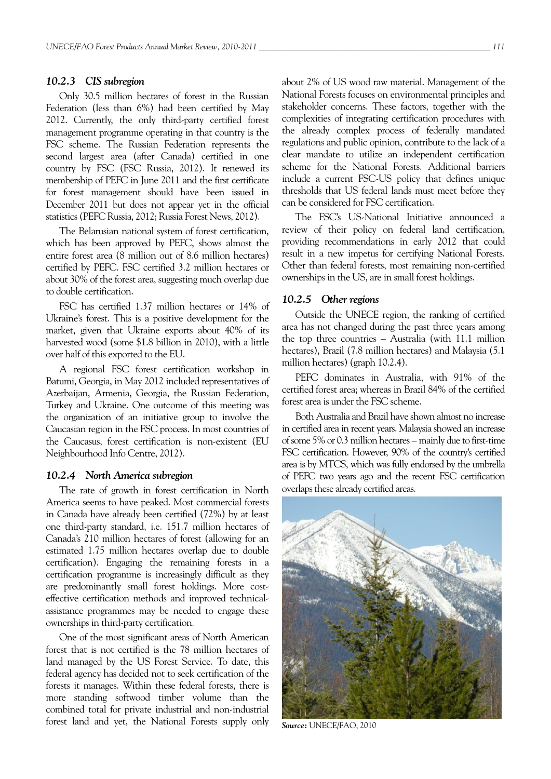## *10.2.3 CIS subregion*

Only 30.5 million hectares of forest in the Russian Federation (less than 6%) had been certified by May 2012. Currently, the only third-party certified forest management programme operating in that country is the FSC scheme. The Russian Federation represents the second largest area (after Canada) certified in one country by FSC (FSC Russia, 2012). It renewed its membership of PEFC in June 2011 and the first certificate for forest management should have been issued in December 2011 but does not appear yet in the official statistics (PEFC Russia, 2012; Russia Forest News, 2012).

The Belarusian national system of forest certification, which has been approved by PEFC, shows almost the entire forest area (8 million out of 8.6 million hectares) certified by PEFC. FSC certified 3.2 million hectares or about 30% of the forest area, suggesting much overlap due to double certification.

FSC has certified 1.37 million hectares or 14% of Ukraine's forest. This is a positive development for the market, given that Ukraine exports about 40% of its harvested wood (some \$1.8 billion in 2010), with a little over half of this exported to the EU.

A regional FSC forest certification workshop in Batumi, Georgia, in May 2012 included representatives of Azerbaijan, Armenia, Georgia, the Russian Federation, Turkey and Ukraine. One outcome of this meeting was the organization of an initiative group to involve the Caucasian region in the FSC process. In most countries of the Caucasus, forest certification is non-existent (EU Neighbourhood Info Centre, 2012).

### *10.2.4 North America subregion*

The rate of growth in forest certification in North America seems to have peaked. Most commercial forests in Canada have already been certified (72%) by at least one third-party standard, i.e. 151.7 million hectares of Canada's 210 million hectares of forest (allowing for an estimated 1.75 million hectares overlap due to double certification). Engaging the remaining forests in a certification programme is increasingly difficult as they are predominantly small forest holdings. More costeffective certification methods and improved technicalassistance programmes may be needed to engage these ownerships in third-party certification.

One of the most significant areas of North American forest that is not certified is the 78 million hectares of land managed by the US Forest Service. To date, this federal agency has decided not to seek certification of the forests it manages. Within these federal forests, there is more standing softwood timber volume than the combined total for private industrial and non-industrial forest land and yet, the National Forests supply only about 2% of US wood raw material. Management of the National Forests focuses on environmental principles and stakeholder concerns. These factors, together with the complexities of integrating certification procedures with the already complex process of federally mandated regulations and public opinion, contribute to the lack of a clear mandate to utilize an independent certification scheme for the National Forests. Additional barriers include a current FSC-US policy that defines unique thresholds that US federal lands must meet before they can be considered for FSC certification.

The FSC's US-National Initiative announced a review of their policy on federal land certification, providing recommendations in early 2012 that could result in a new impetus for certifying National Forests. Other than federal forests, most remaining non-certified ownerships in the US, are in small forest holdings.

## *10.2.5 Other regions*

Outside the UNECE region, the ranking of certified area has not changed during the past three years among the top three countries – Australia (with 11.1 million hectares), Brazil (7.8 million hectares) and Malaysia (5.1 million hectares) (graph 10.2.4).

PEFC dominates in Australia, with 91% of the certified forest area; whereas in Brazil 84% of the certified forest area is under the FSC scheme.

Both Australia and Brazil have shown almost no increase in certified area in recent years. Malaysia showed an increase of some 5% or 0.3 million hectares – mainly due to first-time FSC certification. However, 90% of the country's certified area is by MTCS, which was fully endorsed by the umbrella of PEFC two years ago and the recent FSC certification overlaps these already certified areas.



*Source:* UNECE/FAO, 2010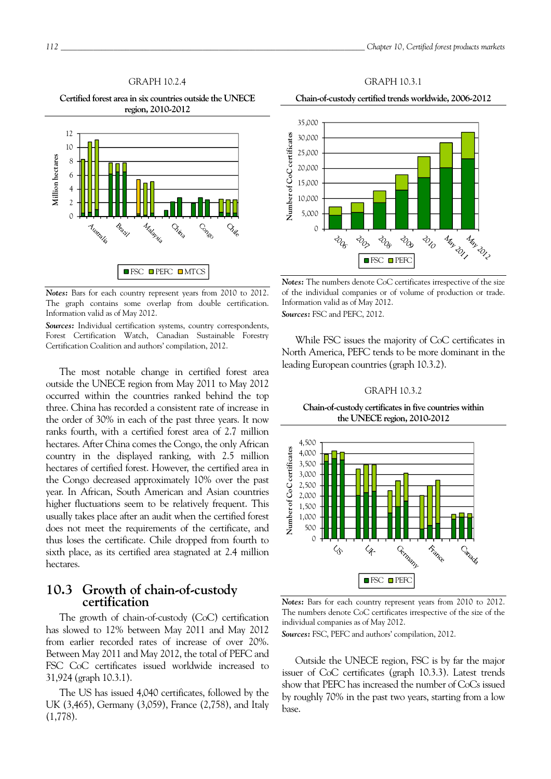## GRAPH 10.2.4

**Certified forest area in six countries outside the UNECE region, 2010-2012** 



*Notes:* Bars for each country represent years from 2010 to 2012. The graph contains some overlap from double certification. Information valid as of May 2012.

*Sources:* Individual certification systems, country correspondents, Forest Certification Watch, Canadian Sustainable Forestry Certification Coalition and authors' compilation, 2012.

The most notable change in certified forest area outside the UNECE region from May 2011 to May 2012 occurred within the countries ranked behind the top three. China has recorded a consistent rate of increase in the order of 30% in each of the past three years. It now ranks fourth, with a certified forest area of 2.7 million hectares. After China comes the Congo, the only African country in the displayed ranking, with 2.5 million hectares of certified forest. However, the certified area in the Congo decreased approximately 10% over the past year. In African, South American and Asian countries higher fluctuations seem to be relatively frequent. This usually takes place after an audit when the certified forest does not meet the requirements of the certificate, and thus loses the certificate. Chile dropped from fourth to sixth place, as its certified area stagnated at 2.4 million hectares.

## **10.3 Growth of chain-of-custody certification**

The growth of chain-of-custody (CoC) certification has slowed to 12% between May 2011 and May 2012 from earlier recorded rates of increase of over 20%. Between May 2011 and May 2012, the total of PEFC and FSC CoC certificates issued worldwide increased to 31,924 (graph 10.3.1).

The US has issued 4,040 certificates, followed by the UK (3,465), Germany (3,059), France (2,758), and Italy (1,778).



GRAPH 10.3.1 **Chain-of-custody certified trends worldwide, 2006-2012** 

*Notes:* The numbers denote CoC certificates irrespective of the size of the individual companies or of volume of production or trade. Information valid as of May 2012. *Sources:* FSC and PEFC, 2012.

While FSC issues the majority of CoC certificates in North America, PEFC tends to be more dominant in the leading European countries (graph 10.3.2).

#### GRAPH 10.3.2

**Chain-of-custody certificates in five countries within the UNECE region, 2010-2012** 



*Notes:* Bars for each country represent years from 2010 to 2012. The numbers denote CoC certificates irrespective of the size of the individual companies as of May 2012.

*Sources:* FSC, PEFC and authors' compilation, 2012.

Outside the UNECE region, FSC is by far the major issuer of CoC certificates (graph 10.3.3). Latest trends show that PEFC has increased the number of CoCs issued by roughly 70% in the past two years, starting from a low base.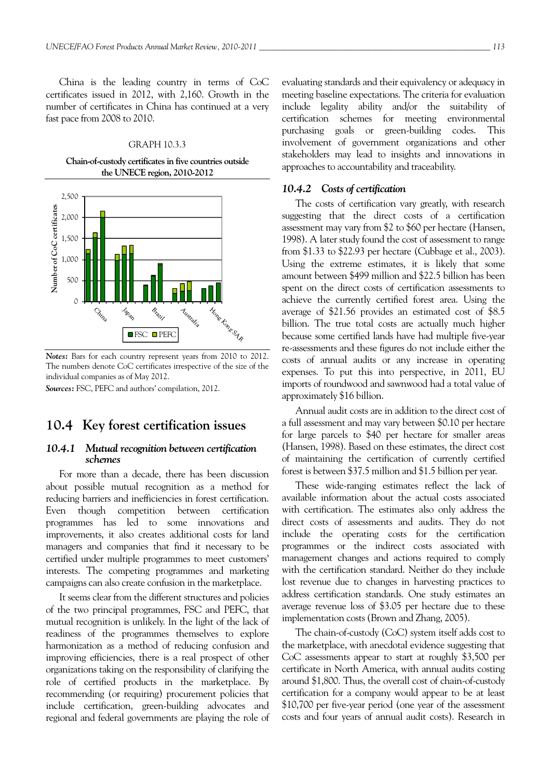China is the leading country in terms of CoC certificates issued in 2012, with 2,160. Growth in the number of certificates in China has continued at a very fast pace from 2008 to 2010.

#### GRAPH 10.3.3

**Chain-of-custody certificates in five countries outside the UNECE region, 2010-2012** 



*Notes:* Bars for each country represent years from 2010 to 2012. The numbers denote CoC certificates irrespective of the size of the individual companies as of May 2012.

*Sources:* FSC, PEFC and authors' compilation, 2012.

## **10.4 Key forest certification issues**

## *10.4.1 Mutual recognition between certification schemes*

For more than a decade, there has been discussion about possible mutual recognition as a method for reducing barriers and inefficiencies in forest certification. Even though competition between certification programmes has led to some innovations and improvements, it also creates additional costs for land managers and companies that find it necessary to be certified under multiple programmes to meet customers' interests. The competing programmes and marketing campaigns can also create confusion in the marketplace.

It seems clear from the different structures and policies of the two principal programmes, FSC and PEFC, that mutual recognition is unlikely. In the light of the lack of readiness of the programmes themselves to explore harmonization as a method of reducing confusion and improving efficiencies, there is a real prospect of other organizations taking on the responsibility of clarifying the role of certified products in the marketplace. By recommending (or requiring) procurement policies that include certification, green-building advocates and regional and federal governments are playing the role of

evaluating standards and their equivalency or adequacy in meeting baseline expectations. The criteria for evaluation include legality ability and/or the suitability of certification schemes for meeting environmental purchasing goals or green-building codes. This involvement of government organizations and other stakeholders may lead to insights and innovations in approaches to accountability and traceability.

## *10.4.2 Costs of certification*

The costs of certification vary greatly, with research suggesting that the direct costs of a certification assessment may vary from \$2 to \$60 per hectare (Hansen, 1998). A later study found the cost of assessment to range from \$1.33 to \$22.93 per hectare (Cubbage et al., 2003). Using the extreme estimates, it is likely that some amount between \$499 million and \$22.5 billion has been spent on the direct costs of certification assessments to achieve the currently certified forest area. Using the average of \$21.56 provides an estimated cost of \$8.5 billion. The true total costs are actually much higher because some certified lands have had multiple five-year re-assessments and these figures do not include either the costs of annual audits or any increase in operating expenses. To put this into perspective, in 2011, EU imports of roundwood and sawnwood had a total value of approximately \$16 billion.

Annual audit costs are in addition to the direct cost of a full assessment and may vary between \$0.10 per hectare for large parcels to \$40 per hectare for smaller areas (Hansen, 1998). Based on these estimates, the direct cost of maintaining the certification of currently certified forest is between \$37.5 million and \$1.5 billion per year.

These wide-ranging estimates reflect the lack of available information about the actual costs associated with certification. The estimates also only address the direct costs of assessments and audits. They do not include the operating costs for the certification programmes or the indirect costs associated with management changes and actions required to comply with the certification standard. Neither do they include lost revenue due to changes in harvesting practices to address certification standards. One study estimates an average revenue loss of \$3.05 per hectare due to these implementation costs (Brown and Zhang, 2005).

The chain-of-custody (CoC) system itself adds cost to the marketplace, with anecdotal evidence suggesting that CoC assessments appear to start at roughly \$3,500 per certificate in North America, with annual audits costing around \$1,800. Thus, the overall cost of chain-of-custody certification for a company would appear to be at least \$10,700 per five-year period (one year of the assessment costs and four years of annual audit costs). Research in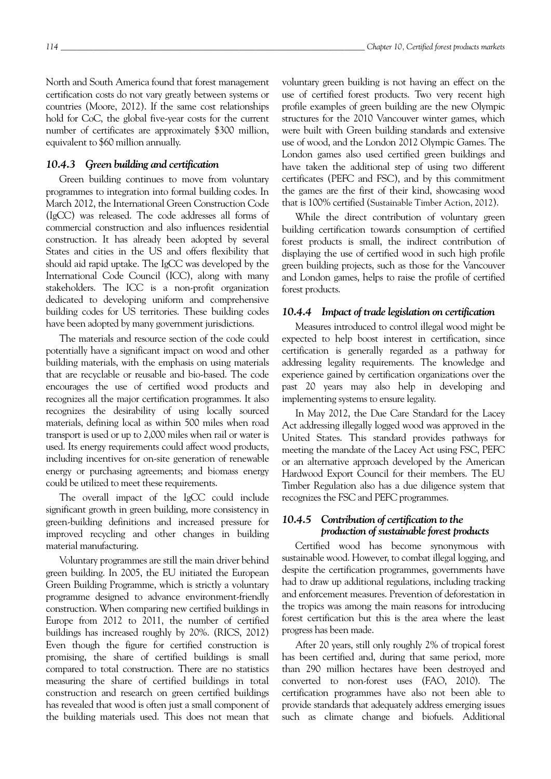North and South America found that forest management certification costs do not vary greatly between systems or countries (Moore, 2012). If the same cost relationships hold for CoC, the global five-year costs for the current number of certificates are approximately \$300 million, equivalent to \$60 million annually.

## *10.4.3 Green building and certification*

Green building continues to move from voluntary programmes to integration into formal building codes. In March 2012, the International Green Construction Code (IgCC) was released. The code addresses all forms of commercial construction and also influences residential construction. It has already been adopted by several States and cities in the US and offers flexibility that should aid rapid uptake. The IgCC was developed by the International Code Council (ICC), along with many stakeholders. The ICC is a non-profit organization dedicated to developing uniform and comprehensive building codes for US territories. These building codes have been adopted by many government jurisdictions.

The materials and resource section of the code could potentially have a significant impact on wood and other building materials, with the emphasis on using materials that are recyclable or reusable and bio-based. The code encourages the use of certified wood products and recognizes all the major certification programmes. It also recognizes the desirability of using locally sourced materials, defining local as within 500 miles when road transport is used or up to 2,000 miles when rail or water is used. Its energy requirements could affect wood products, including incentives for on-site generation of renewable energy or purchasing agreements; and biomass energy could be utilized to meet these requirements.

The overall impact of the IgCC could include significant growth in green building, more consistency in green-building definitions and increased pressure for improved recycling and other changes in building material manufacturing.

Voluntary programmes are still the main driver behind green building. In 2005, the EU initiated the European Green Building Programme, which is strictly a voluntary programme designed to advance environment-friendly construction. When comparing new certified buildings in Europe from 2012 to 2011, the number of certified buildings has increased roughly by 20%. (RICS, 2012) Even though the figure for certified construction is promising, the share of certified buildings is small compared to total construction. There are no statistics measuring the share of certified buildings in total construction and research on green certified buildings has revealed that wood is often just a small component of the building materials used. This does not mean that

voluntary green building is not having an effect on the use of certified forest products. Two very recent high profile examples of green building are the new Olympic structures for the 2010 Vancouver winter games, which were built with Green building standards and extensive use of wood, and the London 2012 Olympic Games. The London games also used certified green buildings and have taken the additional step of using two different certificates (PEFC and FSC), and by this commitment the games are the first of their kind, showcasing wood that is 100% certified (Sustainable Timber Action, 2012).

While the direct contribution of voluntary green building certification towards consumption of certified forest products is small, the indirect contribution of displaying the use of certified wood in such high profile green building projects, such as those for the Vancouver and London games, helps to raise the profile of certified forest products.

## *10.4.4 Impact of trade legislation on certification*

Measures introduced to control illegal wood might be expected to help boost interest in certification, since certification is generally regarded as a pathway for addressing legality requirements. The knowledge and experience gained by certification organizations over the past 20 years may also help in developing and implementing systems to ensure legality.

In May 2012, the Due Care Standard for the Lacey Act addressing illegally logged wood was approved in the United States. This standard provides pathways for meeting the mandate of the Lacey Act using FSC, PEFC or an alternative approach developed by the American Hardwood Export Council for their members. The EU Timber Regulation also has a due diligence system that recognizes the FSC and PEFC programmes.

## *10.4.5 Contribution of certification to the production of sustainable forest products*

Certified wood has become synonymous with sustainable wood. However, to combat illegal logging, and despite the certification programmes, governments have had to draw up additional regulations, including tracking and enforcement measures. Prevention of deforestation in the tropics was among the main reasons for introducing forest certification but this is the area where the least progress has been made.

After 20 years, still only roughly 2% of tropical forest has been certified and, during that same period, more than 290 million hectares have been destroyed and converted to non-forest uses (FAO, 2010). The certification programmes have also not been able to provide standards that adequately address emerging issues such as climate change and biofuels. Additional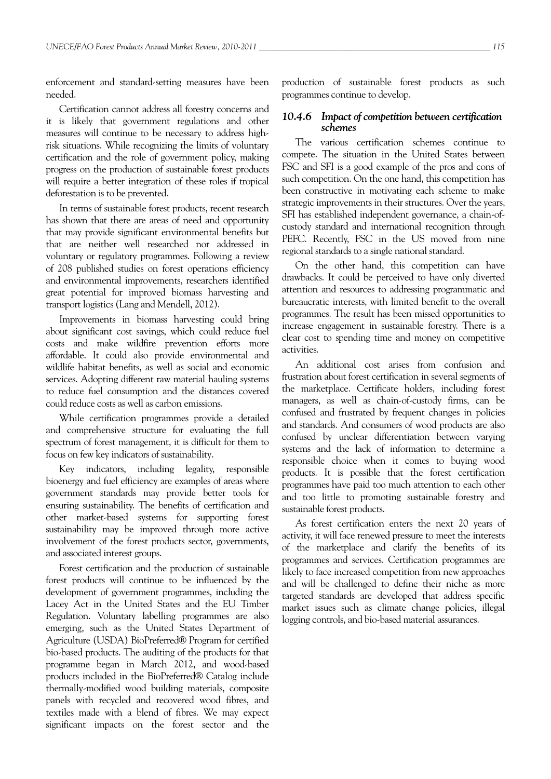enforcement and standard-setting measures have been needed.

Certification cannot address all forestry concerns and it is likely that government regulations and other measures will continue to be necessary to address highrisk situations. While recognizing the limits of voluntary certification and the role of government policy, making progress on the production of sustainable forest products will require a better integration of these roles if tropical deforestation is to be prevented.

In terms of sustainable forest products, recent research has shown that there are areas of need and opportunity that may provide significant environmental benefits but that are neither well researched nor addressed in voluntary or regulatory programmes. Following a review of 208 published studies on forest operations efficiency and environmental improvements, researchers identified great potential for improved biomass harvesting and transport logistics (Lang and Mendell, 2012).

Improvements in biomass harvesting could bring about significant cost savings, which could reduce fuel costs and make wildfire prevention efforts more affordable. It could also provide environmental and wildlife habitat benefits, as well as social and economic services. Adopting different raw material hauling systems to reduce fuel consumption and the distances covered could reduce costs as well as carbon emissions.

While certification programmes provide a detailed and comprehensive structure for evaluating the full spectrum of forest management, it is difficult for them to focus on few key indicators of sustainability.

Key indicators, including legality, responsible bioenergy and fuel efficiency are examples of areas where government standards may provide better tools for ensuring sustainability. The benefits of certification and other market-based systems for supporting forest sustainability may be improved through more active involvement of the forest products sector, governments, and associated interest groups.

Forest certification and the production of sustainable forest products will continue to be influenced by the development of government programmes, including the Lacey Act in the United States and the EU Timber Regulation. Voluntary labelling programmes are also emerging, such as the United States Department of Agriculture (USDA) BioPreferred® Program for certified bio-based products. The auditing of the products for that programme began in March 2012, and wood-based products included in the BioPreferred® Catalog include thermally-modified wood building materials, composite panels with recycled and recovered wood fibres, and textiles made with a blend of fibres. We may expect significant impacts on the forest sector and the production of sustainable forest products as such programmes continue to develop.

## *10.4.6 Impact of competition between certification schemes*

The various certification schemes continue to compete. The situation in the United States between FSC and SFI is a good example of the pros and cons of such competition. On the one hand, this competition has been constructive in motivating each scheme to make strategic improvements in their structures. Over the years, SFI has established independent governance, a chain-ofcustody standard and international recognition through PEFC. Recently, FSC in the US moved from nine regional standards to a single national standard.

On the other hand, this competition can have drawbacks. It could be perceived to have only diverted attention and resources to addressing programmatic and bureaucratic interests, with limited benefit to the overall programmes. The result has been missed opportunities to increase engagement in sustainable forestry. There is a clear cost to spending time and money on competitive activities.

An additional cost arises from confusion and frustration about forest certification in several segments of the marketplace. Certificate holders, including forest managers, as well as chain-of-custody firms, can be confused and frustrated by frequent changes in policies and standards. And consumers of wood products are also confused by unclear differentiation between varying systems and the lack of information to determine a responsible choice when it comes to buying wood products. It is possible that the forest certification programmes have paid too much attention to each other and too little to promoting sustainable forestry and sustainable forest products.

As forest certification enters the next 20 years of activity, it will face renewed pressure to meet the interests of the marketplace and clarify the benefits of its programmes and services. Certification programmes are likely to face increased competition from new approaches and will be challenged to define their niche as more targeted standards are developed that address specific market issues such as climate change policies, illegal logging controls, and bio-based material assurances.